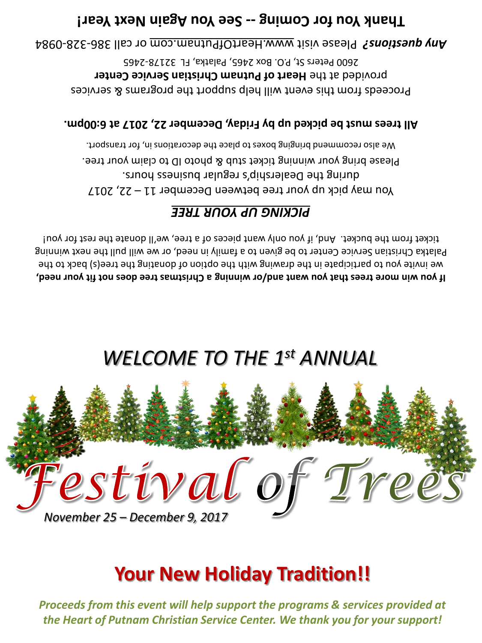*Proceeds from this event will help support the programs & services provided at the Heart of Putnam Christian Service Center. We thank you for your support!*

# **Your New Holiday Tradition!!**



## *WELCOME TO THE 1st ANNUAL*

**If you win more trees that you want and/or winning a Christmas tree does not fit your need,** we invite you to pack to the drawing with the option of donating the tree(s) back to the Palatka Christian Service Center to be given to a family in need, or we will pull the next winning ticket from the bucket. And, if you only want pieces of a tree, we'll donate the rest for you!

### *UP YOUR TREE PICKING*

You may pick up your tree between December  $11 - 22$ , 2017 during the Dealership's regular business hours. Please bring your winning ticket stub & photo ID to claim your tree. We also recommend bringing boxes to place the decorations in, for transport.

### **6:00pm. All trees must be picked up by Friday, December 22, 2017 at**

Proceeds from this event will help support the programs & services provided at the Heart of Putnam Christian Service Center 2600 Peters St, P.O. Box 2465, Palatka, FL 32178-2465

0984 - 328 - or call 386 www.HeartOfPutnam.com Please visit *Any questions?* 

## Thank Year! Coming -- See You hagain hext Year!